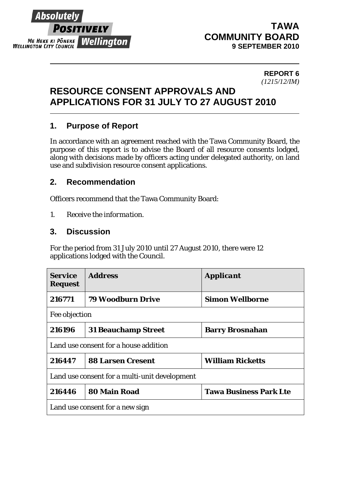# Absolutelv **POSITIVELY ME HEKE KI PÖNEKE Mellington**

# **TAWA COMMUNITY BOARD 9 SEPTEMBER 2010**

#### **REPORT 6**  *(1215/12/IM)*

#### **RESOURCE CONSENT APPROVALS AND APPLICATIONS FOR 31 JULY TO 27 AUGUST 2010**

# **1. Purpose of Report**

In accordance with an agreement reached with the Tawa Community Board, the purpose of this report is to advise the Board of all resource consents lodged, along with decisions made by officers acting under delegated authority, on land use and subdivision resource consent applications.

### **2. Recommendation**

Officers recommend that the Tawa Community Board:

*1. Receive the information.* 

### **3. Discussion**

For the period from 31 July 2010 until 27 August 2010, there were 12 applications lodged with the Council.

| <b>Service</b><br><b>Request</b>              | <b>Address</b>             | <b>Applicant</b>              |  |  |
|-----------------------------------------------|----------------------------|-------------------------------|--|--|
| 216771                                        | <b>79 Woodburn Drive</b>   | <b>Simon Wellborne</b>        |  |  |
| Fee objection                                 |                            |                               |  |  |
| 216196                                        | <b>31 Beauchamp Street</b> | <b>Barry Brosnahan</b>        |  |  |
| Land use consent for a house addition         |                            |                               |  |  |
| 216447                                        | <b>88 Larsen Cresent</b>   | <b>William Ricketts</b>       |  |  |
| Land use consent for a multi-unit development |                            |                               |  |  |
| 216446                                        | <b>80 Main Road</b>        | <b>Tawa Business Park Lte</b> |  |  |
| Land use consent for a new sign               |                            |                               |  |  |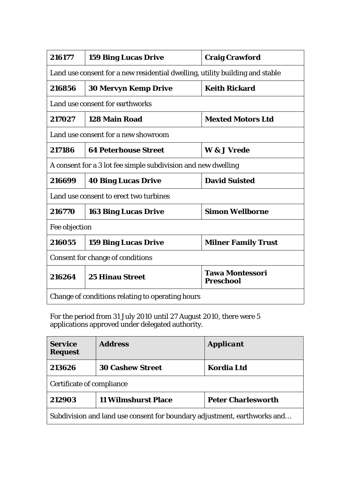| 216177                                                                       | <b>159 Bing Lucas Drive</b> | <b>Craig Crawford</b>                      |  |  |
|------------------------------------------------------------------------------|-----------------------------|--------------------------------------------|--|--|
| Land use consent for a new residential dwelling, utility building and stable |                             |                                            |  |  |
| 216856                                                                       | <b>30 Mervyn Kemp Drive</b> | <b>Keith Rickard</b>                       |  |  |
| Land use consent for earthworks                                              |                             |                                            |  |  |
| 217027                                                                       | 128 Main Road               | <b>Mexted Motors Ltd</b>                   |  |  |
| Land use consent for a new showroom                                          |                             |                                            |  |  |
| 217186                                                                       | <b>64 Peterhouse Street</b> | W & J Vrede                                |  |  |
| A consent for a 3 lot fee simple subdivision and new dwelling                |                             |                                            |  |  |
| 216699                                                                       | <b>40 Bing Lucas Drive</b>  | <b>David Suisted</b>                       |  |  |
| Land use consent to erect two turbines                                       |                             |                                            |  |  |
| 216770                                                                       | <b>163 Bing Lucas Drive</b> | <b>Simon Wellborne</b>                     |  |  |
| Fee objection                                                                |                             |                                            |  |  |
| 216055                                                                       | <b>159 Bing Lucas Drive</b> | <b>Milner Family Trust</b>                 |  |  |
| <b>Consent for change of conditions</b>                                      |                             |                                            |  |  |
| 216264                                                                       | <b>25 Hinau Street</b>      | <b>Tawa Montessori</b><br><b>Preschool</b> |  |  |
| Change of conditions relating to operating hours                             |                             |                                            |  |  |

For the period from 31 July 2010 until 27 August 2010, there were 5 applications approved under delegated authority.

| <b>Service</b><br><b>Request</b>                                         | <b>Address</b>             | <b>Applicant</b>          |  |  |
|--------------------------------------------------------------------------|----------------------------|---------------------------|--|--|
| 213626                                                                   | <b>30 Cashew Street</b>    | <b>Kordia Ltd</b>         |  |  |
| Certificate of compliance                                                |                            |                           |  |  |
| 212903                                                                   | <b>11 Wilmshurst Place</b> | <b>Peter Charlesworth</b> |  |  |
| Subdivision and land use consent for boundary adjustment, earthworks and |                            |                           |  |  |